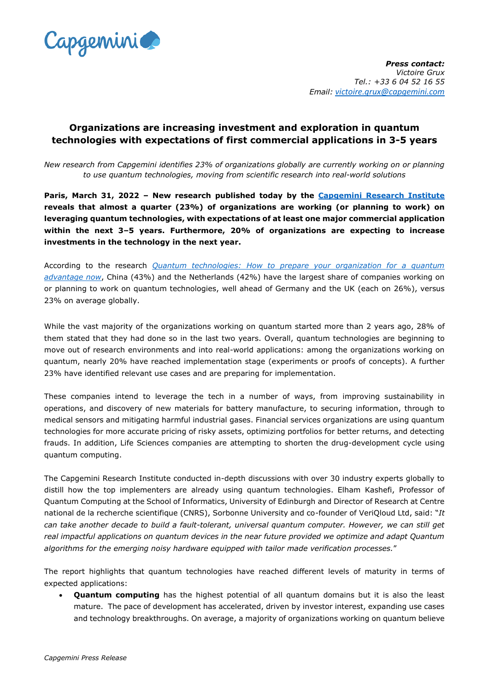

## **Organizations are increasing investment and exploration in quantum technologies with expectations of first commercial applications in 3-5 years**

*New research from Capgemini identifies 23% of organizations globally are currently working on or planning to use quantum technologies, moving from scientific research into real-world solutions*

**Paris, March 31, 2022 – New research published today by the Capgemini Research Institute reveals that almost a quarter (23%) of organizations are working (or planning to work) on leveraging quantum technologies, with expectations of at least one major commercial application within the next 3–5 years. Furthermore, 20% of organizations are expecting to increase investments in the technology in the next year.**

According to the research *[Quantum technologies: How to prepare your organization for a quantum](https://www.capgemini.com/research/quantum-technologies/)  [advantage now](https://www.capgemini.com/research/quantum-technologies/)*, China (43%) and the Netherlands (42%) have the largest share of companies working on or planning to work on quantum technologies, well ahead of Germany and the UK (each on 26%), versus 23% on average globally.

While the vast majority of the organizations working on quantum started more than 2 years ago, 28% of them stated that they had done so in the last two years. Overall, quantum technologies are beginning to move out of research environments and into real-world applications: among the organizations working on quantum, nearly 20% have reached implementation stage (experiments or proofs of concepts). A further 23% have identified relevant use cases and are preparing for implementation.

These companies intend to leverage the tech in a number of ways, from improving sustainability in operations, and discovery of new materials for battery manufacture, to securing information, through to medical sensors and mitigating harmful industrial gases. Financial services organizations are using quantum technologies for more accurate pricing of risky assets, optimizing portfolios for better returns, and detecting frauds. In addition, Life Sciences companies are attempting to shorten the drug-development cycle using quantum computing.

The Capgemini Research Institute conducted in-depth discussions with over 30 industry experts globally to distill how the top implementers are already using quantum technologies. Elham Kashefi, Professor of Quantum Computing at the School of Informatics, University of Edinburgh and Director of Research at Centre national de la recherche scientifique (CNRS), Sorbonne University and co-founder of VeriQloud Ltd, said: "*It can take another decade to build a fault-tolerant, universal quantum computer. However, we can still get real impactful applications on quantum devices in the near future provided we optimize and adapt Quantum algorithms for the emerging noisy hardware equipped with tailor made verification processes.*"

The report highlights that quantum technologies have reached different levels of maturity in terms of expected applications:

• **Quantum computing** has the highest potential of all quantum domains but it is also the least mature. The pace of development has accelerated, driven by investor interest, expanding use cases and technology breakthroughs. On average, a majority of organizations working on quantum believe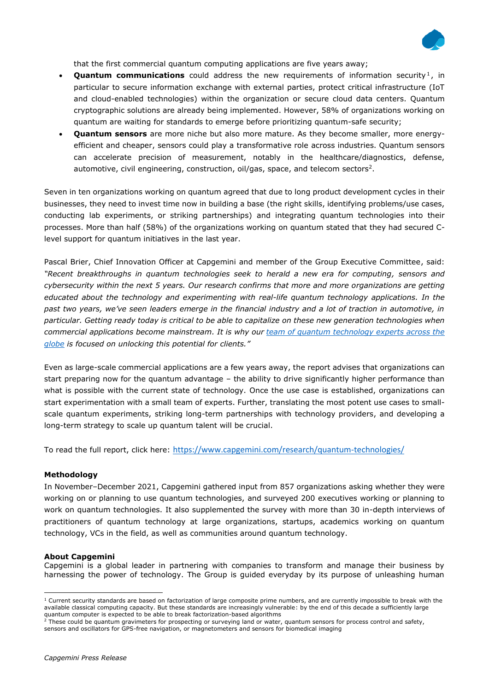

that the first commercial quantum computing applications are five years away;

- **Quantum communications** could address the new requirements of information security<sup>1</sup>, in particular to secure information exchange with external parties, protect critical infrastructure (IoT and cloud-enabled technologies) within the organization or secure cloud data centers. Quantum cryptographic solutions are already being implemented. However, 58% of organizations working on quantum are waiting for standards to emerge before prioritizing quantum-safe security;
- **Quantum sensors** are more niche but also more mature. As they become smaller, more energyefficient and cheaper, sensors could play a transformative role across industries. Quantum sensors can accelerate precision of measurement, notably in the healthcare/diagnostics, defense, automotive, civil engineering, construction, oil/gas, space, and telecom sectors<sup>2</sup>.

Seven in ten organizations working on quantum agreed that due to long product development cycles in their businesses, they need to invest time now in building a base (the right skills, identifying problems/use cases, conducting lab experiments, or striking partnerships) and integrating quantum technologies into their processes. More than half (58%) of the organizations working on quantum stated that they had secured Clevel support for quantum initiatives in the last year.

Pascal Brier, Chief Innovation Officer at Capgemini and member of the Group Executive Committee, said: *"Recent breakthroughs in quantum technologies seek to herald a new era for computing, sensors and cybersecurity within the next 5 years. Our research confirms that more and more organizations are getting educated about the technology and experimenting with real-life quantum technology applications. In the past two years, we've seen leaders emerge in the financial industry and a lot of traction in automotive, in particular. Getting ready today is critical to be able to capitalize on these new generation technologies when commercial applications become mainstream. It is why our [team of quantum technology experts across the](https://www.capgemini.com/news/capgemini-launches-a-dedicated-quantum-lab-and-announces-a-new-agreement-with-ibm-to-advance-industry-applications-of-quantum-computing/)  [globe](https://www.capgemini.com/news/capgemini-launches-a-dedicated-quantum-lab-and-announces-a-new-agreement-with-ibm-to-advance-industry-applications-of-quantum-computing/) is focused on unlocking this potential for clients."*

Even as large-scale commercial applications are a few years away, the report advises that organizations can start preparing now for the quantum advantage – the ability to drive significantly higher performance than what is possible with the current state of technology. Once the use case is established, organizations can start experimentation with a small team of experts. Further, translating the most potent use cases to smallscale quantum experiments, striking long-term partnerships with technology providers, and developing a long-term strategy to scale up quantum talent will be crucial.

To read the full report, click here: <https://www.capgemini.com/research/quantum-technologies/>

## **Methodology**

In November–December 2021, Capgemini gathered input from 857 organizations asking whether they were working on or planning to use quantum technologies, and surveyed 200 executives working or planning to work on quantum technologies. It also supplemented the survey with more than 30 in-depth interviews of practitioners of quantum technology at large organizations, startups, academics working on quantum technology, VCs in the field, as well as communities around quantum technology.

## **About Capgemini**

Capgemini is a global leader in partnering with companies to transform and manage their business by harnessing the power of technology. The Group is guided everyday by its purpose of unleashing human

 $1$  Current security standards are based on factorization of large composite prime numbers, and are currently impossible to break with the available classical computing capacity. But these standards are increasingly vulnerable: by the end of this decade a sufficiently large quantum computer is expected to be able to break factorization-based algorithms<br>a There could be supported to be able to break factorization-based algorithms

<sup>2</sup> These could be quantum gravimeters for prospecting or surveying land or water, quantum sensors for process control and safety, sensors and oscillators for GPS-free navigation, or magnetometers and sensors for biomedical imaging